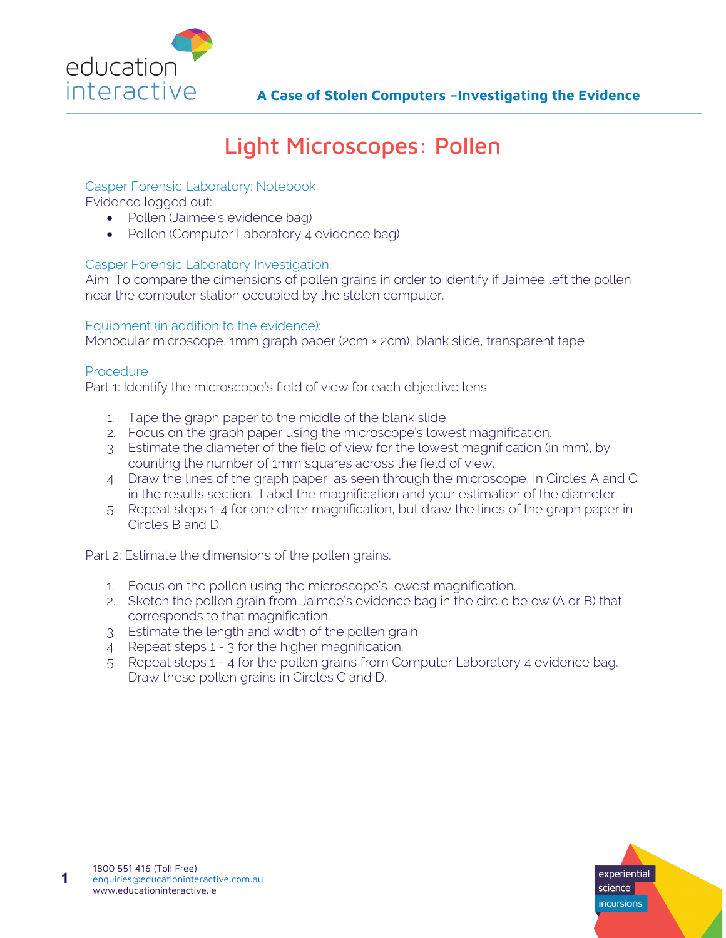

# Light Microscopes: Pollen

### Casper Forensic Laboratory: Notebook

Evidence logged out:

- Pollen (Jaimee's evidence bag)
- Pollen (Computer Laboratory 4 evidence bag)

#### Casper Forensic Laboratory Investigation:

Aim: To compare the dimensions of pollen grains in order to identify if Jaimee left the pollen near the computer station occupied by the stolen computer.

#### Equipment (in addition to the evidence):

Monocular microscope, 1mm graph paper (2cm × 2cm), blank slide, transparent tape,

#### Procedure

Part 1: Identify the microscope's field of view for each objective lens.

- 1. Tape the graph paper to the middle of the blank slide.
- 2. Focus on the graph paper using the microscope's lowest magnification.
- 3. Estimate the diameter of the field of view for the lowest magnification (in mm), by counting the number of 1mm squares across the field of view.
- 4. Draw the lines of the graph paper, as seen through the microscope, in Circles A and C in the results section. Label the magnification and your estimation of the diameter.
- 5. Repeat steps 1-4 for one other magnification, but draw the lines of the graph paper in Circles B and D.

Part 2: Estimate the dimensions of the pollen grains.

- 1. Focus on the pollen using the microscope's lowest magnification.
- 2. Sketch the pollen grain from Jaimee's evidence bag in the circle below (A or B) that corresponds to that magnification.
- 3. Estimate the length and width of the pollen grain.
- 4. Repeat steps 1 3 for the higher magnification.
- 5. Repeat steps 1 4 for the pollen grains from Computer Laboratory 4 evidence bag. Draw these pollen grains in Circles C and D.

**1**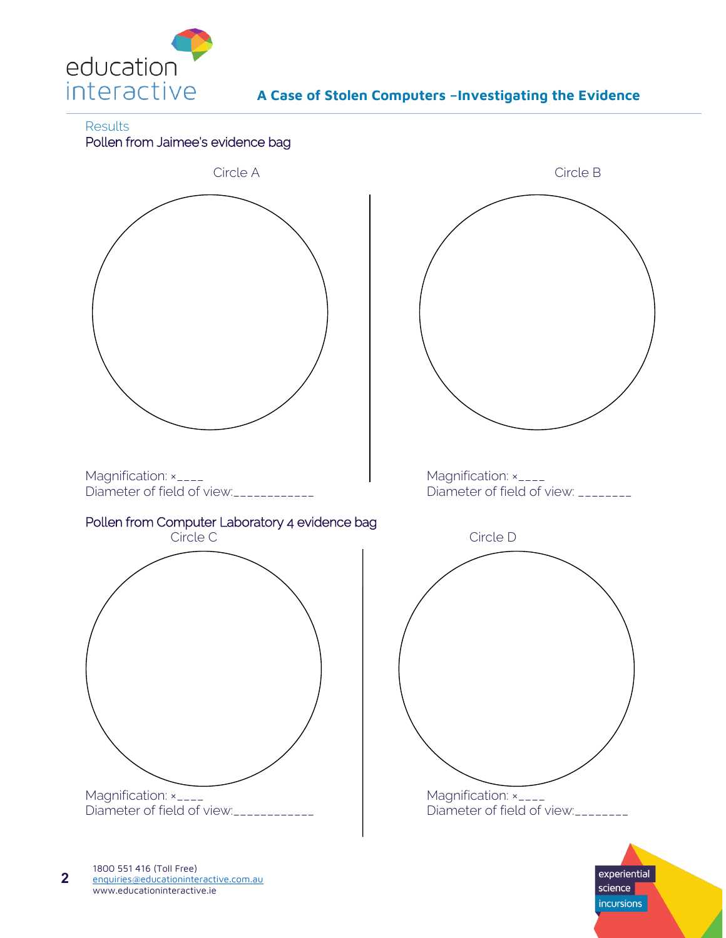

**Results** 





**incursions**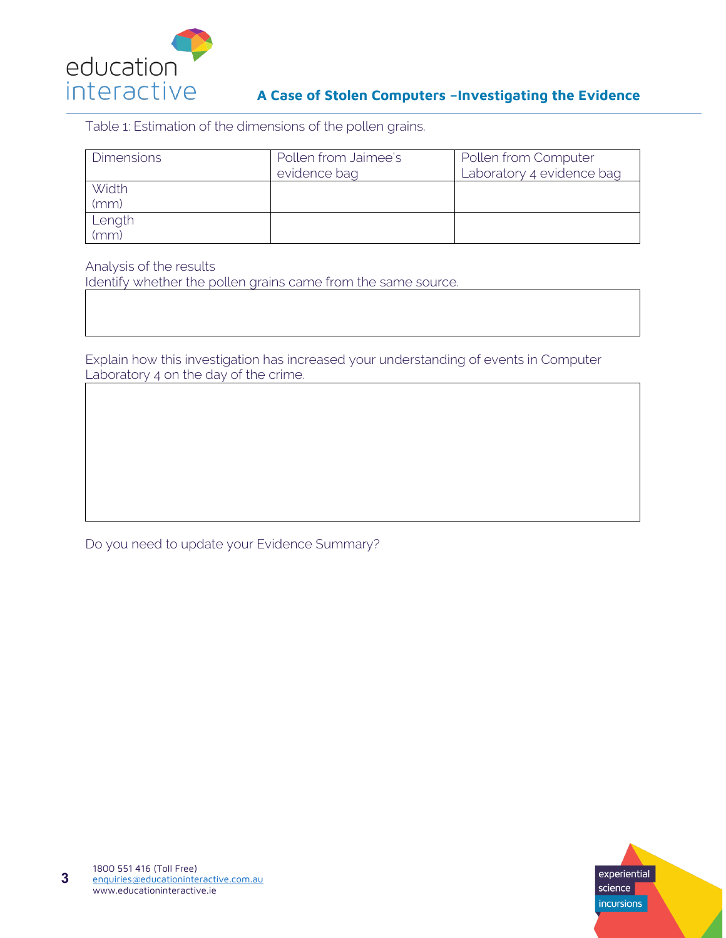

## **A Case of Stolen Computers –Investigating the Evidence**

Table 1: Estimation of the dimensions of the pollen grains.

| <b>Dimensions</b> | Pollen from Jaimee's<br>evidence bag | Pollen from Computer<br>Laboratory 4 evidence bag |
|-------------------|--------------------------------------|---------------------------------------------------|
| Width<br>(mm)     |                                      |                                                   |
| Length<br>(mm)    |                                      |                                                   |

Analysis of the results

Identify whether the pollen grains came from the same source.

Explain how this investigation has increased your understanding of events in Computer Laboratory 4 on the day of the crime.

Do you need to update your Evidence Summary?